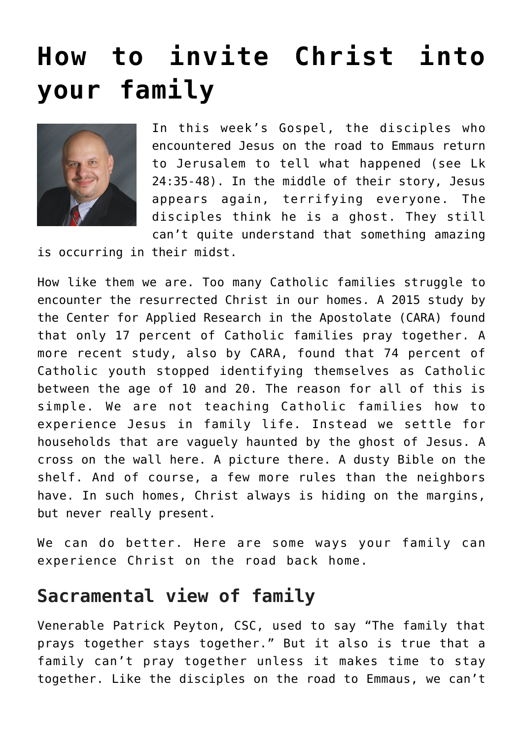## **[How to invite Christ into](https://www.osvnews.com/2018/04/15/how-to-invite-christ-into-your-family/) [your family](https://www.osvnews.com/2018/04/15/how-to-invite-christ-into-your-family/)**



In this week's Gospel, the disciples who encountered Jesus on the road to Emmaus return to Jerusalem to tell what happened (see Lk 24:35-48). In the middle of their story, Jesus appears again, terrifying everyone. The disciples think he is a ghost. They still can't quite understand that something amazing

is occurring in their midst.

How like them we are. Too many Catholic families struggle to encounter the resurrected Christ in our homes. A 2015 study by the Center for Applied Research in the Apostolate (CARA) found that only 17 percent of Catholic families pray together. A more recent study, also by CARA, found that 74 percent of Catholic youth stopped identifying themselves as Catholic between the age of 10 and 20. The reason for all of this is simple. We are not teaching Catholic families how to experience Jesus in family life. Instead we settle for households that are vaguely haunted by the ghost of Jesus. A cross on the wall here. A picture there. A dusty Bible on the shelf. And of course, a few more rules than the neighbors have. In such homes, Christ always is hiding on the margins, but never really present.

We can do better. Here are some ways your family can experience Christ on the road back home.

## **Sacramental view of family**

Venerable Patrick Peyton, CSC, used to say "The family that prays together stays together." But it also is true that a family can't pray together unless it makes time to stay together. Like the disciples on the road to Emmaus, we can't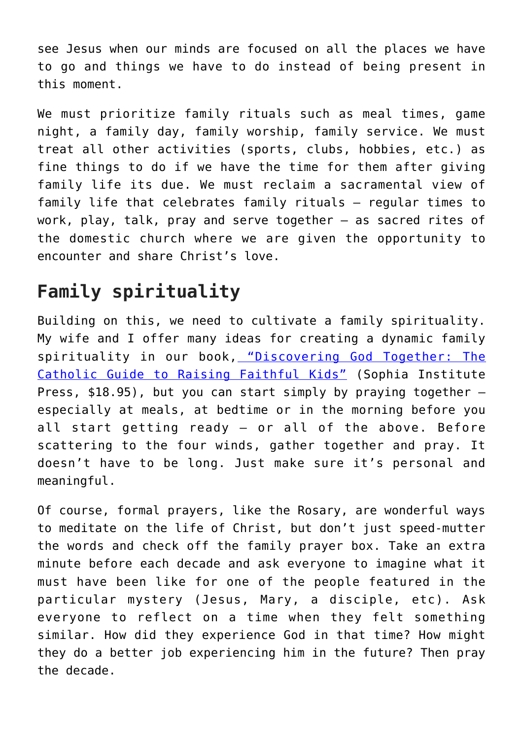see Jesus when our minds are focused on all the places we have to go and things we have to do instead of being present in this moment.

We must prioritize family rituals such as meal times, game night, a family day, family worship, family service. We must treat all other activities (sports, clubs, hobbies, etc.) as fine things to do if we have the time for them after giving family life its due. We must reclaim a sacramental view of family life that celebrates family rituals — regular times to work, play, talk, pray and serve together — as sacred rites of the domestic church where we are given the opportunity to encounter and share Christ's love.

## **Family spirituality**

Building on this, we need to cultivate a family spirituality. My wife and I offer many ideas for creating a dynamic family spirituality in our book, ["Discovering God Together: The](https://www.amazon.com/Discovering-God-Together-Greg-Popcak/dp/1622822463/ref=sr_1_fkmr1_1?ie=UTF8&qid=1522878497&sr=8-1-fkmr1&keywords=Discovering+God+Together%3A+The+Catholic+Guide+to+Raising+Faithful+Kids) [Catholic Guide to Raising Faithful Kids"](https://www.amazon.com/Discovering-God-Together-Greg-Popcak/dp/1622822463/ref=sr_1_fkmr1_1?ie=UTF8&qid=1522878497&sr=8-1-fkmr1&keywords=Discovering+God+Together%3A+The+Catholic+Guide+to+Raising+Faithful+Kids) (Sophia Institute Press,  $$18.95)$ , but you can start simply by praying together  $$ especially at meals, at bedtime or in the morning before you all start getting ready — or all of the above. Before scattering to the four winds, gather together and pray. It doesn't have to be long. Just make sure it's personal and meaningful.

Of course, formal prayers, like the Rosary, are wonderful ways to meditate on the life of Christ, but don't just speed-mutter the words and check off the family prayer box. Take an extra minute before each decade and ask everyone to imagine what it must have been like for one of the people featured in the particular mystery (Jesus, Mary, a disciple, etc). Ask everyone to reflect on a time when they felt something similar. How did they experience God in that time? How might they do a better job experiencing him in the future? Then pray the decade.